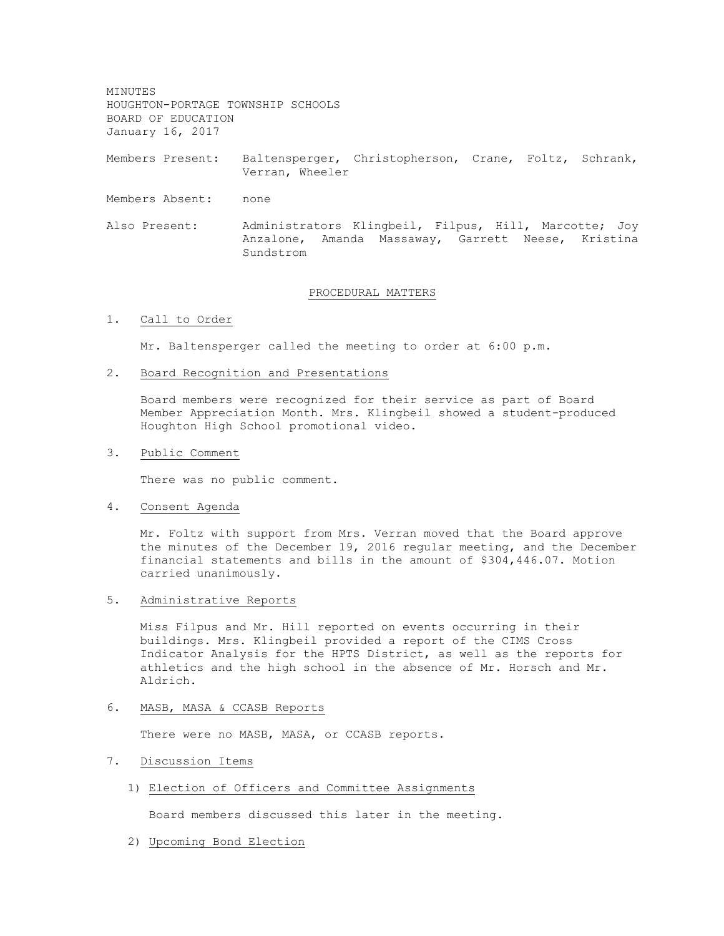MINUTES HOUGHTON-PORTAGE TOWNSHIP SCHOOLS BOARD OF EDUCATION January 16, 2017

Members Present: Baltensperger, Christopherson, Crane, Foltz, Schrank, Verran, Wheeler

- Members Absent: none
- Also Present: Administrators Klingbeil, Filpus, Hill, Marcotte; Joy Anzalone, Amanda Massaway, Garrett Neese, Kristina Sundstrom

#### PROCEDURAL MATTERS

1. Call to Order

Mr. Baltensperger called the meeting to order at 6:00 p.m.

2. Board Recognition and Presentations

Board members were recognized for their service as part of Board Member Appreciation Month. Mrs. Klingbeil showed a student-produced Houghton High School promotional video.

3. Public Comment

There was no public comment.

4. Consent Agenda

Mr. Foltz with support from Mrs. Verran moved that the Board approve the minutes of the December 19, 2016 regular meeting, and the December financial statements and bills in the amount of \$304,446.07. Motion carried unanimously.

5. Administrative Reports

Miss Filpus and Mr. Hill reported on events occurring in their buildings. Mrs. Klingbeil provided a report of the CIMS Cross Indicator Analysis for the HPTS District, as well as the reports for athletics and the high school in the absence of Mr. Horsch and Mr. Aldrich.

6. MASB, MASA & CCASB Reports

There were no MASB, MASA, or CCASB reports.

- 7. Discussion Items
	- 1) Election of Officers and Committee Assignments

Board members discussed this later in the meeting.

2) Upcoming Bond Election